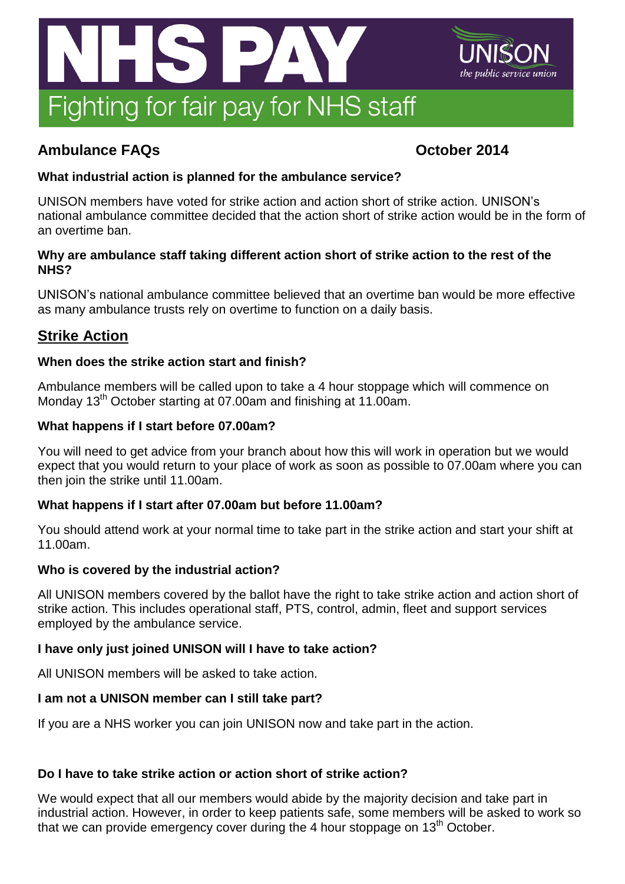

# **Ambulance FAQs October 2014**

# **What industrial action is planned for the ambulance service?**

UNISON members have voted for strike action and action short of strike action. UNISON's national ambulance committee decided that the action short of strike action would be in the form of an overtime ban.

# **Why are ambulance staff taking different action short of strike action to the rest of the NHS?**

UNISON's national ambulance committee believed that an overtime ban would be more effective as many ambulance trusts rely on overtime to function on a daily basis.

# **Strike Action**

# **When does the strike action start and finish?**

Ambulance members will be called upon to take a 4 hour stoppage which will commence on Monday 13<sup>th</sup> October starting at 07.00am and finishing at 11.00am.

# **What happens if I start before 07.00am?**

You will need to get advice from your branch about how this will work in operation but we would expect that you would return to your place of work as soon as possible to 07.00am where you can then join the strike until 11.00am.

# **What happens if I start after 07.00am but before 11.00am?**

You should attend work at your normal time to take part in the strike action and start your shift at 11.00am.

# **Who is covered by the industrial action?**

All UNISON members covered by the ballot have the right to take strike action and action short of strike action. This includes operational staff, PTS, control, admin, fleet and support services employed by the ambulance service.

# **I have only just joined UNISON will I have to take action?**

All UNISON members will be asked to take action.

# **I am not a UNISON member can I still take part?**

If you are a NHS worker you can join UNISON now and take part in the action.

# **Do I have to take strike action or action short of strike action?**

We would expect that all our members would abide by the majority decision and take part in industrial action. However, in order to keep patients safe, some members will be asked to work so that we can provide emergency cover during the 4 hour stoppage on  $13<sup>th</sup>$  October.